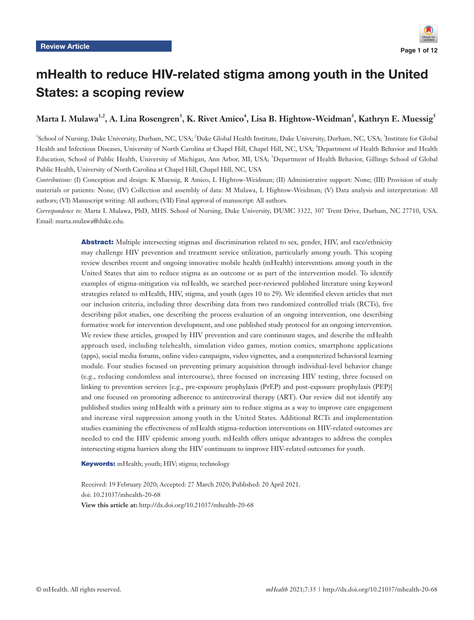

# mHealth to reduce HIV-related stigma among youth in the United States: a scoping review

# Marta I. Mulawa<sup>1,2</sup>, A. Lina Rosengren<sup>3</sup>, K. Rivet Amico<sup>4</sup>, Lisa B. Hightow-Weidman<sup>3</sup>, Kathryn E. Muessig<sup>5</sup>

<sup>1</sup>School of Nursing, Duke University, Durham, NC, USA; <sup>2</sup>Duke Global Health Institute, Duke University, Durham, NC, USA; <sup>3</sup>Institute for Global Health and Infectious Diseases, University of North Carolina at Chapel Hill, Chapel Hill, NC, USA; <sup>4</sup>Department of Health Behavior and Health Education, School of Public Health, University of Michigan, Ann Arbor, MI, USA; <sup>5</sup>Department of Health Behavior, Gillings School of Global Public Health, University of North Carolina at Chapel Hill, Chapel Hill, NC, USA

*Contributions:* (I) Conception and design: K Muessig, R Amico, L Hightow-Weidman; (II) Administrative support: None; (III) Provision of study materials or patients: None; (IV) Collection and assembly of data: M Mulawa, L Hightow-Weidman; (V) Data analysis and interpretation: All authors; (VI) Manuscript writing: All authors; (VII) Final approval of manuscript: All authors.

*Correspondence to:* Marta I. Mulawa, PhD, MHS. School of Nursing, Duke University, DUMC 3322, 307 Trent Drive, Durham, NC 27710, USA. Email: marta.mulawa@duke.edu.

> **Abstract:** Multiple intersecting stigmas and discrimination related to sex, gender, HIV, and race/ethnicity may challenge HIV prevention and treatment service utilization, particularly among youth. This scoping review describes recent and ongoing innovative mobile health (mHealth) interventions among youth in the United States that aim to reduce stigma as an outcome or as part of the intervention model. To identify examples of stigma-mitigation via mHealth, we searched peer-reviewed published literature using keyword strategies related to mHealth, HIV, stigma, and youth (ages 10 to 29). We identified eleven articles that met our inclusion criteria, including three describing data from two randomized controlled trials (RCTs), five describing pilot studies, one describing the process evaluation of an ongoing intervention, one describing formative work for intervention development, and one published study protocol for an ongoing intervention. We review these articles, grouped by HIV prevention and care continuum stages, and describe the mHealth approach used, including telehealth, simulation video games, motion comics, smartphone applications (apps), social media forums, online video campaigns, video vignettes, and a computerized behavioral learning module. Four studies focused on preventing primary acquisition through individual-level behavior change (e.g., reducing condomless anal intercourse), three focused on increasing HIV testing, three focused on linking to prevention services [e.g., pre-exposure prophylaxis (PrEP) and post-exposure prophylaxis (PEP)] and one focused on promoting adherence to antiretroviral therapy (ART). Our review did not identify any published studies using mHealth with a primary aim to reduce stigma as a way to improve care engagement and increase viral suppression among youth in the United States. Additional RCTs and implementation studies examining the effectiveness of mHealth stigma-reduction interventions on HIV-related outcomes are needed to end the HIV epidemic among youth. mHealth offers unique advantages to address the complex intersecting stigma barriers along the HIV continuum to improve HIV-related outcomes for youth.

Keywords: mHealth; youth; HIV; stigma; technology

Received: 19 February 2020; Accepted: 27 March 2020; Published: 20 April 2021. doi: 10.21037/mhealth-20-68 **View this article at:** http://dx.doi.org/10.21037/mhealth-20-68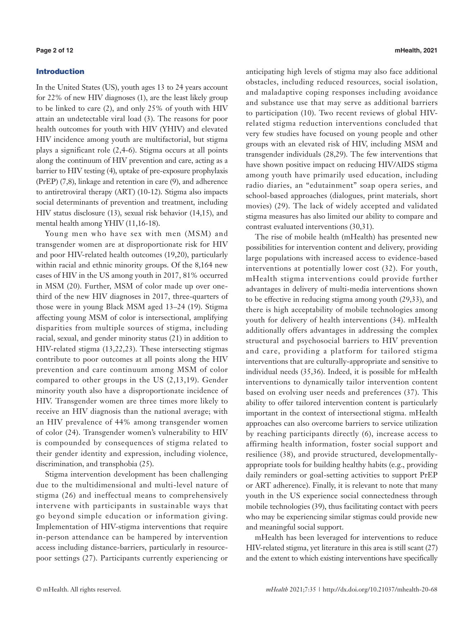## Introduction

In the United States (US), youth ages 13 to 24 years account for 22% of new HIV diagnoses (1), are the least likely group to be linked to care (2), and only 25% of youth with HIV attain an undetectable viral load (3). The reasons for poor health outcomes for youth with HIV (YHIV) and elevated HIV incidence among youth are multifactorial, but stigma plays a significant role (2,4-6). Stigma occurs at all points along the continuum of HIV prevention and care, acting as a barrier to HIV testing (4), uptake of pre-exposure prophylaxis (PrEP) (7,8), linkage and retention in care (9), and adherence to antiretroviral therapy (ART) (10-12). Stigma also impacts social determinants of prevention and treatment, including HIV status disclosure (13), sexual risk behavior (14,15), and mental health among YHIV (11,16-18).

Young men who have sex with men (MSM) and transgender women are at disproportionate risk for HIV and poor HIV-related health outcomes (19,20), particularly within racial and ethnic minority groups. Of the 8,164 new cases of HIV in the US among youth in 2017, 81% occurred in MSM (20). Further, MSM of color made up over onethird of the new HIV diagnoses in 2017, three-quarters of those were in young Black MSM aged 13–24 (19). Stigma affecting young MSM of color is intersectional, amplifying disparities from multiple sources of stigma, including racial, sexual, and gender minority status (21) in addition to HIV-related stigma (13,22,23). These intersecting stigmas contribute to poor outcomes at all points along the HIV prevention and care continuum among MSM of color compared to other groups in the US (2,13,19). Gender minority youth also have a disproportionate incidence of HIV. Transgender women are three times more likely to receive an HIV diagnosis than the national average; with an HIV prevalence of 44% among transgender women of color (24). Transgender women's vulnerability to HIV is compounded by consequences of stigma related to their gender identity and expression, including violence, discrimination, and transphobia (25).

Stigma intervention development has been challenging due to the multidimensional and multi-level nature of stigma (26) and ineffectual means to comprehensively intervene with participants in sustainable ways that go beyond simple education or information giving. Implementation of HIV-stigma interventions that require in-person attendance can be hampered by intervention access including distance-barriers, particularly in resourcepoor settings (27). Participants currently experiencing or anticipating high levels of stigma may also face additional obstacles, including reduced resources, social isolation, and maladaptive coping responses including avoidance and substance use that may serve as additional barriers to participation (10). Two recent reviews of global HIVrelated stigma reduction interventions concluded that very few studies have focused on young people and other groups with an elevated risk of HIV, including MSM and transgender individuals (28,29). The few interventions that have shown positive impact on reducing HIV/AIDS stigma among youth have primarily used education, including radio diaries, an "edutainment" soap opera series, and school-based approaches (dialogues, print materials, short movies) (29). The lack of widely accepted and validated stigma measures has also limited our ability to compare and contrast evaluated interventions (30,31).

The rise of mobile health (mHealth) has presented new possibilities for intervention content and delivery, providing large populations with increased access to evidence-based interventions at potentially lower cost (32). For youth, mHealth stigma interventions could provide further advantages in delivery of multi-media interventions shown to be effective in reducing stigma among youth (29,33), and there is high acceptability of mobile technologies among youth for delivery of health interventions (34). mHealth additionally offers advantages in addressing the complex structural and psychosocial barriers to HIV prevention and care, providing a platform for tailored stigma interventions that are culturally-appropriate and sensitive to individual needs (35,36). Indeed, it is possible for mHealth interventions to dynamically tailor intervention content based on evolving user needs and preferences (37). This ability to offer tailored intervention content is particularly important in the context of intersectional stigma. mHealth approaches can also overcome barriers to service utilization by reaching participants directly (6), increase access to affirming health information, foster social support and resilience (38), and provide structured, developmentallyappropriate tools for building healthy habits (e.g., providing daily reminders or goal-setting activities to support PrEP or ART adherence). Finally, it is relevant to note that many youth in the US experience social connectedness through mobile technologies (39), thus facilitating contact with peers who may be experiencing similar stigmas could provide new and meaningful social support.

mHealth has been leveraged for interventions to reduce HIV-related stigma, yet literature in this area is still scant (27) and the extent to which existing interventions have specifically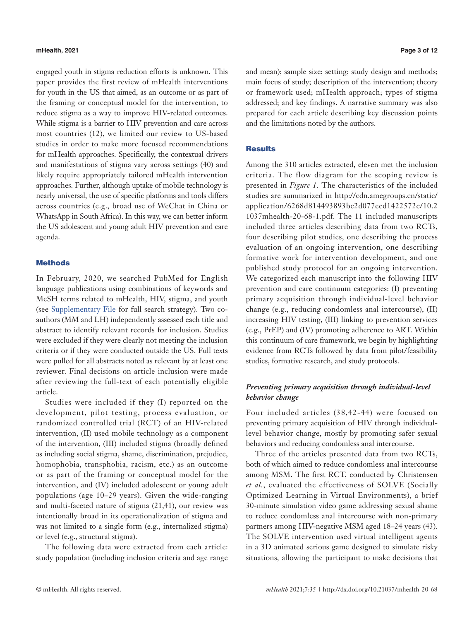### **mHealth, 2021 Page 3 of 12**

engaged youth in stigma reduction efforts is unknown. This paper provides the first review of mHealth interventions for youth in the US that aimed, as an outcome or as part of the framing or conceptual model for the intervention, to reduce stigma as a way to improve HIV-related outcomes. While stigma is a barrier to HIV prevention and care across most countries (12), we limited our review to US-based studies in order to make more focused recommendations for mHealth approaches. Specifically, the contextual drivers and manifestations of stigma vary across settings (40) and likely require appropriately tailored mHealth intervention approaches. Further, although uptake of mobile technology is nearly universal, the use of specific platforms and tools differs across countries (e.g., broad use of WeChat in China or WhatsApp in South Africa). In this way, we can better inform the US adolescent and young adult HIV prevention and care agenda.

### **Methods**

In February, 2020, we searched PubMed for English language publications using combinations of keywords and MeSH terms related to mHealth, HIV, stigma, and youth (see [Supplementary File](https://cdn.amegroups.cn/static/public/mHealth-2019-TIHPCC-09-supplementary.pdf) for full search strategy). Two coauthors (MM and LH) independently assessed each title and abstract to identify relevant records for inclusion. Studies were excluded if they were clearly not meeting the inclusion criteria or if they were conducted outside the US. Full texts were pulled for all abstracts noted as relevant by at least one reviewer. Final decisions on article inclusion were made after reviewing the full-text of each potentially eligible article.

Studies were included if they (I) reported on the development, pilot testing, process evaluation, or randomized controlled trial (RCT) of an HIV-related intervention, (II) used mobile technology as a component of the intervention, (III) included stigma (broadly defined as including social stigma, shame, discrimination, prejudice, homophobia, transphobia, racism, etc.) as an outcome or as part of the framing or conceptual model for the intervention, and (IV) included adolescent or young adult populations (age 10–29 years). Given the wide-ranging and multi-faceted nature of stigma (21,41), our review was intentionally broad in its operationalization of stigma and was not limited to a single form (e.g., internalized stigma) or level (e.g., structural stigma).

The following data were extracted from each article: study population (including inclusion criteria and age range and mean); sample size; setting; study design and methods; main focus of study; description of the intervention; theory or framework used; mHealth approach; types of stigma addressed; and key findings. A narrative summary was also prepared for each article describing key discussion points and the limitations noted by the authors.

# Results

Among the 310 articles extracted, eleven met the inclusion criteria. The flow diagram for the scoping review is presented in *Figure 1*. The characteristics of the included studies are summarized in [http://cdn.amegroups.cn/static/](http://cdn.amegroups.cn/static/application/6268d814493893bc2d077ecd1422572c/10.21037mhealth-20-68-1.) [application/6268d814493893bc2d077ecd1422572c/10.2](http://cdn.amegroups.cn/static/application/6268d814493893bc2d077ecd1422572c/10.21037mhealth-20-68-1.) [1037mhealth-20-68-1.pdf](http://cdn.amegroups.cn/static/application/6268d814493893bc2d077ecd1422572c/10.21037mhealth-20-68-1.). The 11 included manuscripts included three articles describing data from two RCTs, four describing pilot studies, one describing the process evaluation of an ongoing intervention, one describing formative work for intervention development, and one published study protocol for an ongoing intervention. We categorized each manuscript into the following HIV prevention and care continuum categories: (I) preventing primary acquisition through individual-level behavior change (e.g., reducing condomless anal intercourse), (II) increasing HIV testing, (III) linking to prevention services (e.g., PrEP) and (IV) promoting adherence to ART. Within this continuum of care framework, we begin by highlighting evidence from RCTs followed by data from pilot/feasibility studies, formative research, and study protocols.

# *Preventing primary acquisition through individual-level behavior change*

Four included articles (38,42-44) were focused on preventing primary acquisition of HIV through individuallevel behavior change, mostly by promoting safer sexual behaviors and reducing condomless anal intercourse.

Three of the articles presented data from two RCTs, both of which aimed to reduce condomless anal intercourse among MSM. The first RCT, conducted by Christensen *et al.*, evaluated the effectiveness of SOLVE (Socially Optimized Learning in Virtual Environments), a brief 30-minute simulation video game addressing sexual shame to reduce condomless anal intercourse with non-primary partners among HIV-negative MSM aged 18–24 years (43). The SOLVE intervention used virtual intelligent agents in a 3D animated serious game designed to simulate risky situations, allowing the participant to make decisions that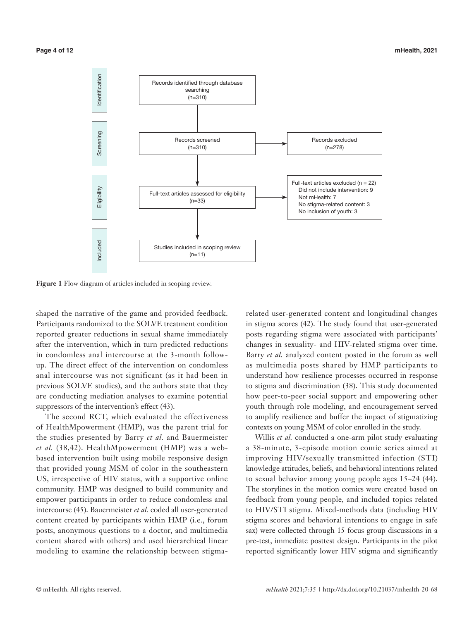

**Figure 1** Flow diagram of articles included in scoping review.

shaped the narrative of the game and provided feedback. Participants randomized to the SOLVE treatment condition reported greater reductions in sexual shame immediately after the intervention, which in turn predicted reductions in condomless anal intercourse at the 3-month followup. The direct effect of the intervention on condomless anal intercourse was not significant (as it had been in previous SOLVE studies), and the authors state that they are conducting mediation analyses to examine potential suppressors of the intervention's effect (43).

The second RCT, which evaluated the effectiveness of HealthMpowerment (HMP), was the parent trial for the studies presented by Barry *et al.* and Bauermeister *et al.* (38,42). HealthMpowerment (HMP) was a webbased intervention built using mobile responsive design that provided young MSM of color in the southeastern US, irrespective of HIV status, with a supportive online community. HMP was designed to build community and empower participants in order to reduce condomless anal intercourse (45). Bauermeister *et al.* coded all user-generated content created by participants within HMP (i.e., forum posts, anonymous questions to a doctor, and multimedia content shared with others) and used hierarchical linear modeling to examine the relationship between stigma-

related user-generated content and longitudinal changes in stigma scores (42). The study found that user-generated posts regarding stigma were associated with participants' changes in sexuality- and HIV-related stigma over time. Barry *et al.* analyzed content posted in the forum as well as multimedia posts shared by HMP participants to understand how resilience processes occurred in response to stigma and discrimination (38). This study documented how peer-to-peer social support and empowering other youth through role modeling, and encouragement served to amplify resilience and buffer the impact of stigmatizing contexts on young MSM of color enrolled in the study.

Willis *et al.* conducted a one-arm pilot study evaluating a 38-minute, 3-episode motion comic series aimed at improving HIV/sexually transmitted infection (STI) knowledge attitudes, beliefs, and behavioral intentions related to sexual behavior among young people ages 15–24 (44). The storylines in the motion comics were created based on feedback from young people, and included topics related to HIV/STI stigma. Mixed-methods data (including HIV stigma scores and behavioral intentions to engage in safe sax) were collected through 15 focus group discussions in a pre-test, immediate posttest design. Participants in the pilot reported significantly lower HIV stigma and significantly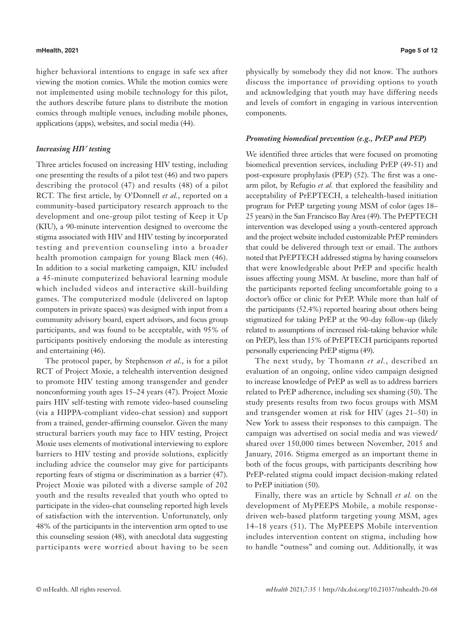### **mHealth, 2021 Page 5 of 12**

higher behavioral intentions to engage in safe sex after viewing the motion comics. While the motion comics were not implemented using mobile technology for this pilot, the authors describe future plans to distribute the motion comics through multiple venues, including mobile phones, applications (apps), websites, and social media (44).

# *Increasing HIV testing*

Three articles focused on increasing HIV testing, including one presenting the results of a pilot test (46) and two papers describing the protocol (47) and results (48) of a pilot RCT. The first article, by O'Donnell *et al.*, reported on a community-based participatory research approach to the development and one-group pilot testing of Keep it Up (KIU), a 90-minute intervention designed to overcome the stigma associated with HIV and HIV testing by incorporated testing and prevention counseling into a broader health promotion campaign for young Black men (46). In addition to a social marketing campaign, KIU included a 45-minute computerized behavioral learning module which included videos and interactive skill-building games. The computerized module (delivered on laptop computers in private spaces) was designed with input from a community advisory board, expert advisors, and focus group participants, and was found to be acceptable, with 95% of participants positively endorsing the module as interesting and entertaining (46).

The protocol paper, by Stephenson *et al.*, is for a pilot RCT of Project Moxie, a telehealth intervention designed to promote HIV testing among transgender and gender nonconforming youth ages 15–24 years (47). Project Moxie pairs HIV self-testing with remote video-based counseling (via a HIPPA-compliant video-chat session) and support from a trained, gender-affirming counselor. Given the many structural barriers youth may face to HIV testing, Project Moxie uses elements of motivational interviewing to explore barriers to HIV testing and provide solutions, explicitly including advice the counselor may give for participants reporting fears of stigma or discrimination as a barrier (47). Project Moxie was piloted with a diverse sample of 202 youth and the results revealed that youth who opted to participate in the video-chat counseling reported high levels of satisfaction with the intervention. Unfortunately, only 48% of the participants in the intervention arm opted to use this counseling session (48), with anecdotal data suggesting participants were worried about having to be seen physically by somebody they did not know. The authors discuss the importance of providing options to youth and acknowledging that youth may have differing needs and levels of comfort in engaging in various intervention components.

### *Promoting biomedical prevention (e.g., PrEP and PEP)*

We identified three articles that were focused on promoting biomedical prevention services, including PrEP (49-51) and post-exposure prophylaxis (PEP) (52). The first was a onearm pilot, by Refugio *et al.* that explored the feasibility and acceptability of PrEPTECH, a telehealth-based initiation program for PrEP targeting young MSM of color (ages 18– 25 years) in the San Francisco Bay Area (49). The PrEPTECH intervention was developed using a youth-centered approach and the project website included customizable PrEP reminders that could be delivered through text or email. The authors noted that PrEPTECH addressed stigma by having counselors that were knowledgeable about PrEP and specific health issues affecting young MSM. At baseline, more than half of the participants reported feeling uncomfortable going to a doctor's office or clinic for PrEP. While more than half of the participants (52.4%) reported hearing about others being stigmatized for taking PrEP at the 90-day follow-up (likely related to assumptions of increased risk-taking behavior while on PrEP), less than 15% of PrEPTECH participants reported personally experiencing PrEP stigma (49).

The next study, by Thomann *et al.*, described an evaluation of an ongoing, online video campaign designed to increase knowledge of PrEP as well as to address barriers related to PrEP adherence, including sex shaming (50). The study presents results from two focus groups with MSM and transgender women at risk for HIV (ages 21–50) in New York to assess their responses to this campaign. The campaign was advertised on social media and was viewed/ shared over 150,000 times between November, 2015 and January, 2016. Stigma emerged as an important theme in both of the focus groups, with participants describing how PrEP-related stigma could impact decision-making related to PrEP initiation (50).

Finally, there was an article by Schnall *et al.* on the development of MyPEEPS Mobile, a mobile responsedriven web-based platform targeting young MSM, ages 14–18 years (51). The MyPEEPS Mobile intervention includes intervention content on stigma, including how to handle "outness" and coming out. Additionally, it was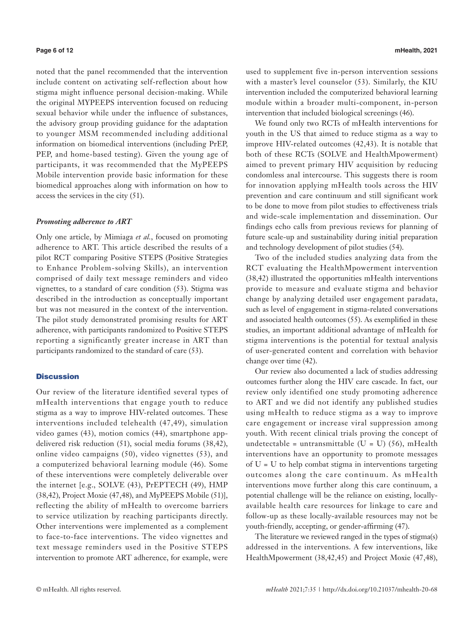noted that the panel recommended that the intervention include content on activating self-reflection about how stigma might influence personal decision-making. While the original MYPEEPS intervention focused on reducing sexual behavior while under the influence of substances, the advisory group providing guidance for the adaptation to younger MSM recommended including additional information on biomedical interventions (including PrEP, PEP, and home-based testing). Given the young age of participants, it was recommended that the MyPEEPS Mobile intervention provide basic information for these biomedical approaches along with information on how to access the services in the city (51).

### *Promoting adherence to ART*

Only one article, by Mimiaga *et al.*, focused on promoting adherence to ART. This article described the results of a pilot RCT comparing Positive STEPS (Positive Strategies to Enhance Problem-solving Skills), an intervention comprised of daily text message reminders and video vignettes, to a standard of care condition (53). Stigma was described in the introduction as conceptually important but was not measured in the context of the intervention. The pilot study demonstrated promising results for ART adherence, with participants randomized to Positive STEPS reporting a significantly greater increase in ART than participants randomized to the standard of care (53).

# **Discussion**

Our review of the literature identified several types of mHealth interventions that engage youth to reduce stigma as a way to improve HIV-related outcomes. These interventions included telehealth (47,49), simulation video games (43), motion comics (44), smartphone appdelivered risk reduction (51), social media forums (38,42), online video campaigns (50), video vignettes (53), and a computerized behavioral learning module (46). Some of these interventions were completely deliverable over the internet [e.g., SOLVE (43), PrEPTECH (49), HMP (38,42), Project Moxie (47,48), and MyPEEPS Mobile (51)], reflecting the ability of mHealth to overcome barriers to service utilization by reaching participants directly. Other interventions were implemented as a complement to face-to-face interventions. The video vignettes and text message reminders used in the Positive STEPS intervention to promote ART adherence, for example, were used to supplement five in-person intervention sessions with a master's level counselor (53). Similarly, the KIU intervention included the computerized behavioral learning module within a broader multi-component, in-person intervention that included biological screenings (46).

We found only two RCTs of mHealth interventions for youth in the US that aimed to reduce stigma as a way to improve HIV-related outcomes (42,43). It is notable that both of these RCTs (SOLVE and HealthMpowerment) aimed to prevent primary HIV acquisition by reducing condomless anal intercourse. This suggests there is room for innovation applying mHealth tools across the HIV prevention and care continuum and still significant work to be done to move from pilot studies to effectiveness trials and wide-scale implementation and dissemination. Our findings echo calls from previous reviews for planning of future scale-up and sustainability during initial preparation and technology development of pilot studies (54).

Two of the included studies analyzing data from the RCT evaluating the HealthMpowerment intervention (38,42) illustrated the opportunities mHealth interventions provide to measure and evaluate stigma and behavior change by analyzing detailed user engagement paradata, such as level of engagement in stigma-related conversations and associated health outcomes (55). As exemplified in these studies, an important additional advantage of mHealth for stigma interventions is the potential for textual analysis of user-generated content and correlation with behavior change over time (42).

Our review also documented a lack of studies addressing outcomes further along the HIV care cascade. In fact, our review only identified one study promoting adherence to ART and we did not identify any published studies using mHealth to reduce stigma as a way to improve care engagement or increase viral suppression among youth. With recent clinical trials proving the concept of undetectable = untransmittable ( $U = U$ ) (56), mHealth interventions have an opportunity to promote messages of  $U = U$  to help combat stigma in interventions targeting outcomes along the care continuum. As mHealth interventions move further along this care continuum, a potential challenge will be the reliance on existing, locallyavailable health care resources for linkage to care and follow-up as these locally-available resources may not be youth-friendly, accepting, or gender-affirming (47).

The literature we reviewed ranged in the types of stigma(s) addressed in the interventions. A few interventions, like HealthMpowerment (38,42,45) and Project Moxie (47,48),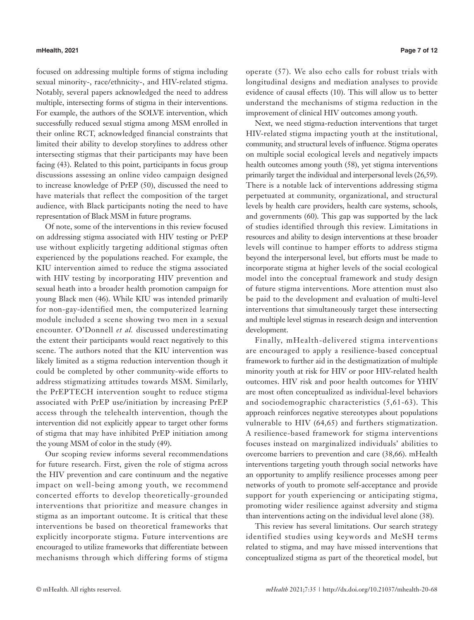focused on addressing multiple forms of stigma including sexual minority-, race/ethnicity-, and HIV-related stigma. Notably, several papers acknowledged the need to address multiple, intersecting forms of stigma in their interventions. For example, the authors of the SOLVE intervention, which successfully reduced sexual stigma among MSM enrolled in their online RCT, acknowledged financial constraints that limited their ability to develop storylines to address other intersecting stigmas that their participants may have been facing (43). Related to this point, participants in focus group discussions assessing an online video campaign designed to increase knowledge of PrEP (50), discussed the need to have materials that reflect the composition of the target audience, with Black participants noting the need to have representation of Black MSM in future programs.

Of note, some of the interventions in this review focused on addressing stigma associated with HIV testing or PrEP use without explicitly targeting additional stigmas often experienced by the populations reached. For example, the KIU intervention aimed to reduce the stigma associated with HIV testing by incorporating HIV prevention and sexual heath into a broader health promotion campaign for young Black men (46). While KIU was intended primarily for non-gay-identified men, the computerized learning module included a scene showing two men in a sexual encounter. O'Donnell *et al.* discussed underestimating the extent their participants would react negatively to this scene. The authors noted that the KIU intervention was likely limited as a stigma reduction intervention though it could be completed by other community-wide efforts to address stigmatizing attitudes towards MSM. Similarly, the PrEPTECH intervention sought to reduce stigma associated with PrEP use/initiation by increasing PrEP access through the telehealth intervention, though the intervention did not explicitly appear to target other forms of stigma that may have inhibited PrEP initiation among the young MSM of color in the study (49).

Our scoping review informs several recommendations for future research. First, given the role of stigma across the HIV prevention and care continuum and the negative impact on well-being among youth, we recommend concerted efforts to develop theoretically-grounded interventions that prioritize and measure changes in stigma as an important outcome. It is critical that these interventions be based on theoretical frameworks that explicitly incorporate stigma. Future interventions are encouraged to utilize frameworks that differentiate between mechanisms through which differing forms of stigma

operate (57). We also echo calls for robust trials with longitudinal designs and mediation analyses to provide evidence of causal effects (10). This will allow us to better understand the mechanisms of stigma reduction in the improvement of clinical HIV outcomes among youth.

Next, we need stigma-reduction interventions that target HIV-related stigma impacting youth at the institutional, community, and structural levels of influence. Stigma operates on multiple social ecological levels and negatively impacts health outcomes among youth (58), yet stigma interventions primarily target the individual and interpersonal levels (26,59). There is a notable lack of interventions addressing stigma perpetuated at community, organizational, and structural levels by health care providers, health care systems, schools, and governments (60). This gap was supported by the lack of studies identified through this review. Limitations in resources and ability to design interventions at these broader levels will continue to hamper efforts to address stigma beyond the interpersonal level, but efforts must be made to incorporate stigma at higher levels of the social ecological model into the conceptual framework and study design of future stigma interventions. More attention must also be paid to the development and evaluation of multi-level interventions that simultaneously target these intersecting and multiple level stigmas in research design and intervention development.

Finally, mHealth-delivered stigma interventions are encouraged to apply a resilience-based conceptual framework to further aid in the destigmatization of multiple minority youth at risk for HIV or poor HIV-related health outcomes. HIV risk and poor health outcomes for YHIV are most often conceptualized as individual-level behaviors and sociodemographic characteristics (5,61-63). This approach reinforces negative stereotypes about populations vulnerable to HIV (64,65) and furthers stigmatization. A resilience-based framework for stigma interventions focuses instead on marginalized individuals' abilities to overcome barriers to prevention and care (38,66). mHealth interventions targeting youth through social networks have an opportunity to amplify resilience processes among peer networks of youth to promote self-acceptance and provide support for youth experiencing or anticipating stigma, promoting wider resilience against adversity and stigma than interventions acting on the individual level alone (38).

This review has several limitations. Our search strategy identified studies using keywords and MeSH terms related to stigma, and may have missed interventions that conceptualized stigma as part of the theoretical model, but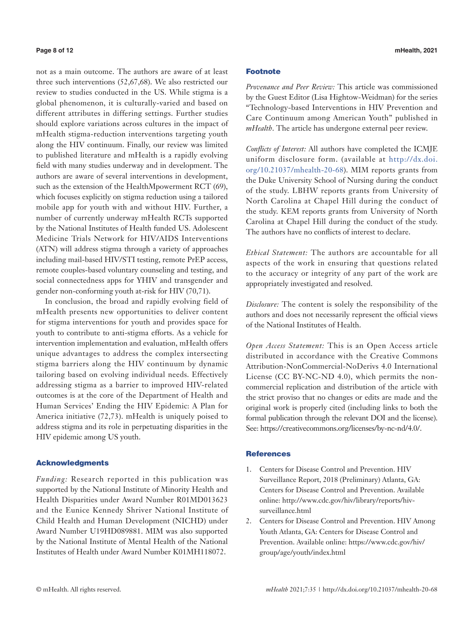not as a main outcome. The authors are aware of at least three such interventions (52,67,68). We also restricted our review to studies conducted in the US. While stigma is a global phenomenon, it is culturally-varied and based on different attributes in differing settings. Further studies should explore variations across cultures in the impact of mHealth stigma-reduction interventions targeting youth along the HIV continuum. Finally, our review was limited to published literature and mHealth is a rapidly evolving field with many studies underway and in development. The authors are aware of several interventions in development, such as the extension of the HealthMpowerment RCT (69), which focuses explicitly on stigma reduction using a tailored mobile app for youth with and without HIV. Further, a number of currently underway mHealth RCTs supported by the National Institutes of Health funded US. Adolescent Medicine Trials Network for HIV/AIDS Interventions (ATN) will address stigma through a variety of approaches including mail-based HIV/STI testing, remote PrEP access, remote couples-based voluntary counseling and testing, and social connectedness apps for YHIV and transgender and gender non-conforming youth at-risk for HIV (70,71).

In conclusion, the broad and rapidly evolving field of mHealth presents new opportunities to deliver content for stigma interventions for youth and provides space for youth to contribute to anti-stigma efforts. As a vehicle for intervention implementation and evaluation, mHealth offers unique advantages to address the complex intersecting stigma barriers along the HIV continuum by dynamic tailoring based on evolving individual needs. Effectively addressing stigma as a barrier to improved HIV-related outcomes is at the core of the Department of Health and Human Services' Ending the HIV Epidemic: A Plan for America initiative (72,73). mHealth is uniquely poised to address stigma and its role in perpetuating disparities in the HIV epidemic among US youth.

### Acknowledgments

*Funding:* Research reported in this publication was supported by the National Institute of Minority Health and Health Disparities under Award Number R01MD013623 and the Eunice Kennedy Shriver National Institute of Child Health and Human Development (NICHD) under Award Number U19HD089881. MIM was also supported by the National Institute of Mental Health of the National Institutes of Health under Award Number K01MH118072.

# Footnote

*Provenance and Peer Review:* This article was commissioned by the Guest Editor (Lisa Hightow-Weidman) for the series "Technology-based Interventions in HIV Prevention and Care Continuum among American Youth" published in *mHealth*. The article has undergone external peer review.

*Conflicts of Interest:* All authors have completed the ICMJE uniform disclosure form. (available at [http://dx.doi.](http://dx.doi.org/10.21037/mhealth-20-68) [org/10.21037/mhealth-20-68\)](http://dx.doi.org/10.21037/mhealth-20-68). MIM reports grants from the Duke University School of Nursing during the conduct of the study. LBHW reports grants from University of North Carolina at Chapel Hill during the conduct of the study. KEM reports grants from University of North Carolina at Chapel Hill during the conduct of the study. The authors have no conflicts of interest to declare.

*Ethical Statement:* The authors are accountable for all aspects of the work in ensuring that questions related to the accuracy or integrity of any part of the work are appropriately investigated and resolved.

*Disclosure:* The content is solely the responsibility of the authors and does not necessarily represent the official views of the National Institutes of Health.

*Open Access Statement:* This is an Open Access article distributed in accordance with the Creative Commons Attribution-NonCommercial-NoDerivs 4.0 International License (CC BY-NC-ND 4.0), which permits the noncommercial replication and distribution of the article with the strict proviso that no changes or edits are made and the original work is properly cited (including links to both the formal publication through the relevant DOI and the license). See: https://creativecommons.org/licenses/by-nc-nd/4.0/.

# **References**

- 1. Centers for Disease Control and Prevention. HIV Surveillance Report, 2018 (Preliminary) Atlanta, GA: Centers for Disease Control and Prevention. Available online: http://www.cdc.gov/hiv/library/reports/hivsurveillance.html
- 2. Centers for Disease Control and Prevention. HIV Among Youth Atlanta, GA: Centers for Disease Control and Prevention. Available online: https://www.cdc.gov/hiv/ group/age/youth/index.html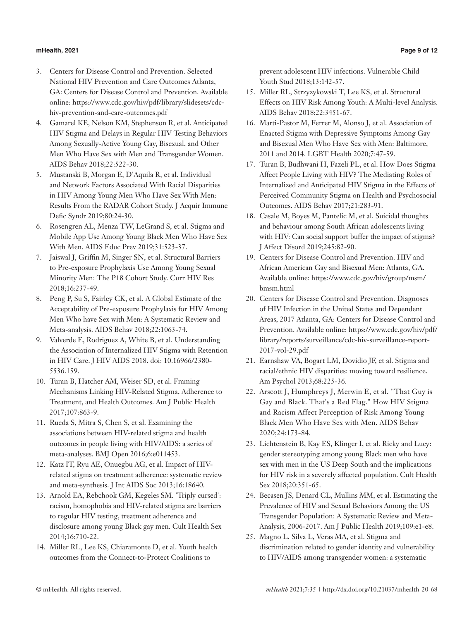# **mHealth, 2021 Page 9 of 12**

- 3. Centers for Disease Control and Prevention. Selected National HIV Prevention and Care Outcomes Atlanta, GA: Centers for Disease Control and Prevention. Available online: https://www.cdc.gov/hiv/pdf/library/slidesets/cdchiv-prevention-and-care-outcomes.pdf
- 4. Gamarel KE, Nelson KM, Stephenson R, et al. Anticipated HIV Stigma and Delays in Regular HIV Testing Behaviors Among Sexually-Active Young Gay, Bisexual, and Other Men Who Have Sex with Men and Transgender Women. AIDS Behav 2018;22:522-30.
- 5. Mustanski B, Morgan E, D'Aquila R, et al. Individual and Network Factors Associated With Racial Disparities in HIV Among Young Men Who Have Sex With Men: Results From the RADAR Cohort Study. J Acquir Immune Defic Syndr 2019;80:24-30.
- 6. Rosengren AL, Menza TW, LeGrand S, et al. Stigma and Mobile App Use Among Young Black Men Who Have Sex With Men. AIDS Educ Prev 2019;31:523-37.
- 7. Jaiswal J, Griffin M, Singer SN, et al. Structural Barriers to Pre-exposure Prophylaxis Use Among Young Sexual Minority Men: The P18 Cohort Study. Curr HIV Res 2018;16:237-49.
- 8. Peng P, Su S, Fairley CK, et al. A Global Estimate of the Acceptability of Pre-exposure Prophylaxis for HIV Among Men Who have Sex with Men: A Systematic Review and Meta-analysis. AIDS Behav 2018;22:1063-74.
- 9. Valverde E, Rodriguez A, White B, et al. Understanding the Association of Internalized HIV Stigma with Retention in HIV Care. J HIV AIDS 2018. doi: 10.16966/2380- 5536.159.
- 10. Turan B, Hatcher AM, Weiser SD, et al. Framing Mechanisms Linking HIV-Related Stigma, Adherence to Treatment, and Health Outcomes. Am J Public Health 2017;107:863-9.
- 11. Rueda S, Mitra S, Chen S, et al. Examining the associations between HIV-related stigma and health outcomes in people living with HIV/AIDS: a series of meta-analyses. BMJ Open 2016;6:e011453.
- 12. Katz IT, Ryu AE, Onuegbu AG, et al. Impact of HIVrelated stigma on treatment adherence: systematic review and meta-synthesis. J Int AIDS Soc 2013;16:18640.
- 13. Arnold EA, Rebchook GM, Kegeles SM. 'Triply cursed': racism, homophobia and HIV-related stigma are barriers to regular HIV testing, treatment adherence and disclosure among young Black gay men. Cult Health Sex 2014;16:710-22.
- 14. Miller RL, Lee KS, Chiaramonte D, et al. Youth health outcomes from the Connect-to-Protect Coalitions to

prevent adolescent HIV infections. Vulnerable Child Youth Stud 2018;13:142-57.

- 15. Miller RL, Strzyzykowski T, Lee KS, et al. Structural Effects on HIV Risk Among Youth: A Multi-level Analysis. AIDS Behav 2018;22:3451-67.
- 16. Marti-Pastor M, Ferrer M, Alonso J, et al. Association of Enacted Stigma with Depressive Symptoms Among Gay and Bisexual Men Who Have Sex with Men: Baltimore, 2011 and 2014. LGBT Health 2020;7:47-59.
- 17. Turan B, Budhwani H, Fazeli PL, et al. How Does Stigma Affect People Living with HIV? The Mediating Roles of Internalized and Anticipated HIV Stigma in the Effects of Perceived Community Stigma on Health and Psychosocial Outcomes. AIDS Behav 2017;21:283-91.
- 18. Casale M, Boyes M, Pantelic M, et al. Suicidal thoughts and behaviour among South African adolescents living with HIV: Can social support buffer the impact of stigma? J Affect Disord 2019;245:82-90.
- 19. Centers for Disease Control and Prevention. HIV and African American Gay and Bisexual Men: Atlanta, GA. Available online: https://www.cdc.gov/hiv/group/msm/ bmsm.html
- 20. Centers for Disease Control and Prevention. Diagnoses of HIV Infection in the United States and Dependent Areas, 2017 Atlanta, GA: Centers for Disease Control and Prevention. Available online: https://www.cdc.gov/hiv/pdf/ library/reports/surveillance/cdc-hiv-surveillance-report-2017-vol-29.pdf
- 21. Earnshaw VA, Bogart LM, Dovidio JF, et al. Stigma and racial/ethnic HIV disparities: moving toward resilience. Am Psychol 2013;68:225-36.
- 22. Arscott J, Humphreys J, Merwin E, et al. "That Guy is Gay and Black. That's a Red Flag." How HIV Stigma and Racism Affect Perception of Risk Among Young Black Men Who Have Sex with Men. AIDS Behav 2020;24:173-84.
- 23. Lichtenstein B, Kay ES, Klinger I, et al. Ricky and Lucy: gender stereotyping among young Black men who have sex with men in the US Deep South and the implications for HIV risk in a severely affected population. Cult Health Sex 2018;20:351-65.
- 24. Becasen JS, Denard CL, Mullins MM, et al. Estimating the Prevalence of HIV and Sexual Behaviors Among the US Transgender Population: A Systematic Review and Meta-Analysis, 2006-2017. Am J Public Health 2019;109:e1-e8.
- 25. Magno L, Silva L, Veras MA, et al. Stigma and discrimination related to gender identity and vulnerability to HIV/AIDS among transgender women: a systematic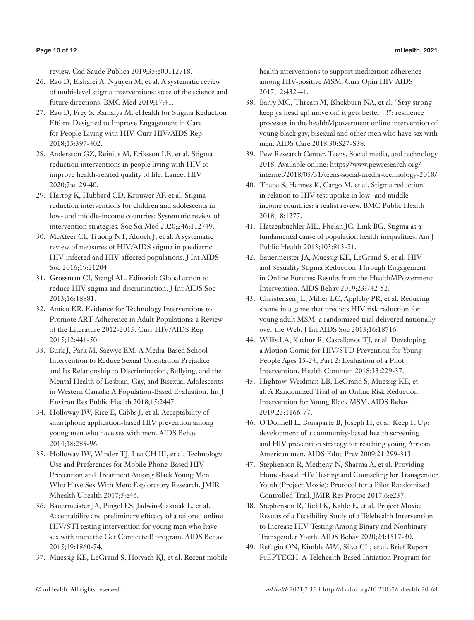review. Cad Saude Publica 2019;35:e00112718.

- 26. Rao D, Elshafei A, Nguyen M, et al. A systematic review of multi-level stigma interventions: state of the science and future directions. BMC Med 2019;17:41.
- 27. Rao D, Frey S, Ramaiya M. eHealth for Stigma Reduction Efforts Designed to Improve Engagement in Care for People Living with HIV. Curr HIV/AIDS Rep 2018;15:397-402.
- 28. Andersson GZ, Reinius M, Eriksson LE, et al. Stigma reduction interventions in people living with HIV to improve health-related quality of life. Lancet HIV 2020;7:e129-40.
- 29. Hartog K, Hubbard CD, Krouwer AF, et al. Stigma reduction interventions for children and adolescents in low- and middle-income countries: Systematic review of intervention strategies. Soc Sci Med 2020;246:112749.
- 30. McAteer CI, Truong NT, Aluoch J, et al. A systematic review of measures of HIV/AIDS stigma in paediatric HIV-infected and HIV-affected populations. J Int AIDS Soc 2016;19:21204.
- 31. Grossman CI, Stangl AL. Editorial: Global action to reduce HIV stigma and discrimination. J Int AIDS Soc 2013;16:18881.
- 32. Amico KR. Evidence for Technology Interventions to Promote ART Adherence in Adult Populations: a Review of the Literature 2012-2015. Curr HIV/AIDS Rep 2015;12:441-50.
- 33. Burk J, Park M, Saewyc EM. A Media-Based School Intervention to Reduce Sexual Orientation Prejudice and Its Relationship to Discrimination, Bullying, and the Mental Health of Lesbian, Gay, and Bisexual Adolescents in Western Canada: A Population-Based Evaluation. Int J Environ Res Public Health 2018;15:2447.
- 34. Holloway IW, Rice E, Gibbs J, et al. Acceptability of smartphone application-based HIV prevention among young men who have sex with men. AIDS Behav 2014;18:285-96.
- 35. Holloway IW, Winder TJ, Lea CH III, et al. Technology Use and Preferences for Mobile Phone-Based HIV Prevention and Treatment Among Black Young Men Who Have Sex With Men: Exploratory Research. JMIR Mhealth Uhealth 2017;5:e46.
- 36. Bauermeister JA, Pingel ES, Jadwin-Cakmak L, et al. Acceptability and preliminary efficacy of a tailored online HIV/STI testing intervention for young men who have sex with men: the Get Connected! program. AIDS Behav 2015;19:1860-74.
- 37. Muessig KE, LeGrand S, Horvath KJ, et al. Recent mobile

health interventions to support medication adherence among HIV-positive MSM. Curr Opin HIV AIDS 2017;12:432-41.

- 38. Barry MC, Threats M, Blackburn NA, et al. "Stay strong! keep ya head up! move on! it gets better!!!!": resilience processes in the healthMpowerment online intervention of young black gay, bisexual and other men who have sex with men. AIDS Care 2018;30:S27-S38.
- 39. Pew Research Center. Teens, Social media, and technology 2018. Available online: https://www.pewresearch.org/ internet/2018/05/31/teens-social-media-technology-2018/
- 40. Thapa S, Hannes K, Cargo M, et al. Stigma reduction in relation to HIV test uptake in low- and middleincome countries: a realist review. BMC Public Health 2018;18:1277.
- 41. Hatzenbuehler ML, Phelan JC, Link BG. Stigma as a fundamental cause of population health inequalities. Am J Public Health 2013;103:813-21.
- 42. Bauermeister JA, Muessig KE, LeGrand S, et al. HIV and Sexuality Stigma Reduction Through Engagement in Online Forums: Results from the HealthMPowerment Intervention. AIDS Behav 2019;23:742-52.
- 43. Christensen JL, Miller LC, Appleby PR, et al. Reducing shame in a game that predicts HIV risk reduction for young adult MSM: a randomized trial delivered nationally over the Web. J Int AIDS Soc 2013;16:18716.
- 44. Willis LA, Kachur R, Castellanos TJ, et al. Developing a Motion Comic for HIV/STD Prevention for Young People Ages 15-24, Part 2: Evaluation of a Pilot Intervention. Health Commun 2018;33:229-37.
- 45. Hightow-Weidman LB, LeGrand S, Muessig KE, et al. A Randomized Trial of an Online Risk Reduction Intervention for Young Black MSM. AIDS Behav 2019;23:1166-77.
- 46. O'Donnell L, Bonaparte B, Joseph H, et al. Keep It Up: development of a community-based health screening and HIV prevention strategy for reaching young African American men. AIDS Educ Prev 2009;21:299-313.
- 47. Stephenson R, Metheny N, Sharma A, et al. Providing Home-Based HIV Testing and Counseling for Transgender Youth (Project Moxie): Protocol for a Pilot Randomized Controlled Trial. JMIR Res Protoc 2017;6:e237.
- 48. Stephenson R, Todd K, Kahle E, et al. Project Moxie: Results of a Feasibility Study of a Telehealth Intervention to Increase HIV Testing Among Binary and Nonbinary Transgender Youth. AIDS Behav 2020;24:1517-30.
- 49. Refugio ON, Kimble MM, Silva CL, et al. Brief Report: PrEPTECH: A Telehealth-Based Initiation Program for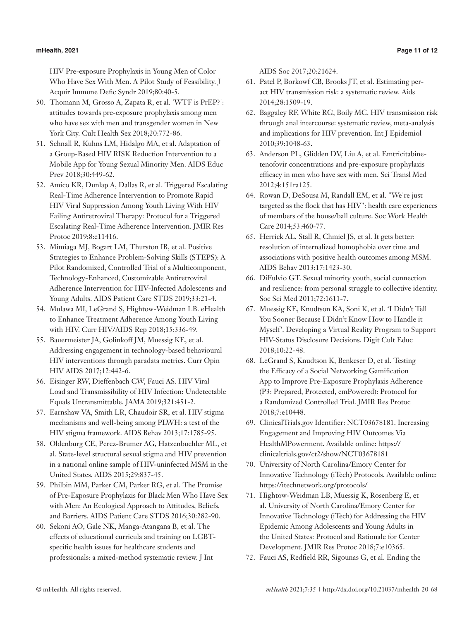### **mHealth, 2021 Page 11 of 12**

HIV Pre-exposure Prophylaxis in Young Men of Color Who Have Sex With Men. A Pilot Study of Feasibility. J Acquir Immune Defic Syndr 2019;80:40-5.

- 50. Thomann M, Grosso A, Zapata R, et al. 'WTF is PrEP?': attitudes towards pre-exposure prophylaxis among men who have sex with men and transgender women in New York City. Cult Health Sex 2018;20:772-86.
- 51. Schnall R, Kuhns LM, Hidalgo MA, et al. Adaptation of a Group-Based HIV RISK Reduction Intervention to a Mobile App for Young Sexual Minority Men. AIDS Educ Prev 2018;30:449-62.
- 52. Amico KR, Dunlap A, Dallas R, et al. Triggered Escalating Real-Time Adherence Intervention to Promote Rapid HIV Viral Suppression Among Youth Living With HIV Failing Antiretroviral Therapy: Protocol for a Triggered Escalating Real-Time Adherence Intervention. JMIR Res Protoc 2019;8:e11416.
- 53. Mimiaga MJ, Bogart LM, Thurston IB, et al. Positive Strategies to Enhance Problem-Solving Skills (STEPS): A Pilot Randomized, Controlled Trial of a Multicomponent, Technology-Enhanced, Customizable Antiretroviral Adherence Intervention for HIV-Infected Adolescents and Young Adults. AIDS Patient Care STDS 2019;33:21-4.
- 54. Mulawa MI, LeGrand S, Hightow-Weidman LB. eHealth to Enhance Treatment Adherence Among Youth Living with HIV. Curr HIV/AIDS Rep 2018;15:336-49.
- 55. Bauermeister JA, Golinkoff JM, Muessig KE, et al. Addressing engagement in technology-based behavioural HIV interventions through paradata metrics. Curr Opin HIV AIDS 2017;12:442-6.
- 56. Eisinger RW, Dieffenbach CW, Fauci AS. HIV Viral Load and Transmissibility of HIV Infection: Undetectable Equals Untransmittable. JAMA 2019;321:451-2.
- 57. Earnshaw VA, Smith LR, Chaudoir SR, et al. HIV stigma mechanisms and well-being among PLWH: a test of the HIV stigma framework. AIDS Behav 2013;17:1785-95.
- 58. Oldenburg CE, Perez-Brumer AG, Hatzenbuehler ML, et al. State-level structural sexual stigma and HIV prevention in a national online sample of HIV-uninfected MSM in the United States. AIDS 2015;29:837-45.
- 59. Philbin MM, Parker CM, Parker RG, et al. The Promise of Pre-Exposure Prophylaxis for Black Men Who Have Sex with Men: An Ecological Approach to Attitudes, Beliefs, and Barriers. AIDS Patient Care STDS 2016;30:282-90.
- 60. Sekoni AO, Gale NK, Manga-Atangana B, et al. The effects of educational curricula and training on LGBTspecific health issues for healthcare students and professionals: a mixed-method systematic review. J Int

AIDS Soc 2017;20:21624.

- 61. Patel P, Borkowf CB, Brooks JT, et al. Estimating peract HIV transmission risk: a systematic review. Aids 2014;28:1509-19.
- 62. Baggaley RF, White RG, Boily MC. HIV transmission risk through anal intercourse: systematic review, meta-analysis and implications for HIV prevention. Int J Epidemiol 2010;39:1048-63.
- 63. Anderson PL, Glidden DV, Liu A, et al. Emtricitabinetenofovir concentrations and pre-exposure prophylaxis efficacy in men who have sex with men. Sci Transl Med 2012;4:151ra125.
- 64. Rowan D, DeSousa M, Randall EM, et al. "We're just targeted as the flock that has HIV": health care experiences of members of the house/ball culture. Soc Work Health Care 2014;53:460-77.
- 65. Herrick AL, Stall R, Chmiel JS, et al. It gets better: resolution of internalized homophobia over time and associations with positive health outcomes among MSM. AIDS Behav 2013;17:1423-30.
- 66. DiFulvio GT. Sexual minority youth, social connection and resilience: from personal struggle to collective identity. Soc Sci Med 2011;72:1611-7.
- 67. Muessig KE, Knudtson KA, Soni K, et al. 'I Didn't Tell You Sooner Because I Didn't Know How to Handle it Myself'. Developing a Virtual Reality Program to Support HIV-Status Disclosure Decisions. Digit Cult Educ 2018;10:22-48.
- 68. LeGrand S, Knudtson K, Benkeser D, et al. Testing the Efficacy of a Social Networking Gamification App to Improve Pre-Exposure Prophylaxis Adherence (P3: Prepared, Protected, emPowered): Protocol for a Randomized Controlled Trial. JMIR Res Protoc 2018;7:e10448.
- 69. ClinicalTrials.gov Identifier: NCT03678181. Increasing Engagement and Improving HIV Outcomes Via HealthMPowerment. Available online: https:// clinicaltrials.gov/ct2/show/NCT03678181
- 70. University of North Carolina/Emory Center for Innovative Technology (iTech) Protocols. Available online: https://itechnetwork.org/protocols/
- 71. Hightow-Weidman LB, Muessig K, Rosenberg E, et al. University of North Carolina/Emory Center for Innovative Technology (iTech) for Addressing the HIV Epidemic Among Adolescents and Young Adults in the United States: Protocol and Rationale for Center Development. JMIR Res Protoc 2018;7:e10365.
- 72. Fauci AS, Redfield RR, Sigounas G, et al. Ending the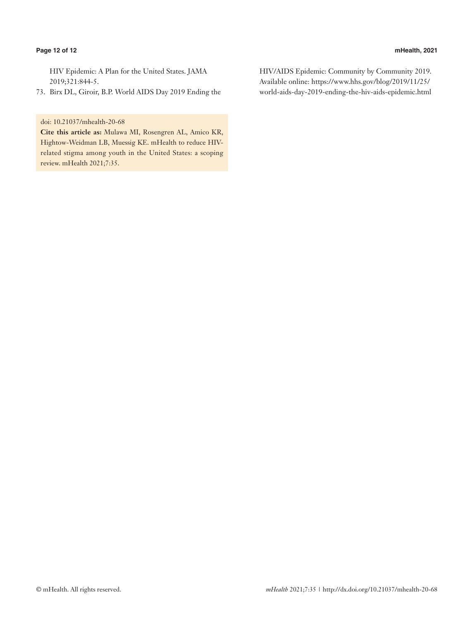### **Page 12 of 12 mHealth, 2021**

HIV Epidemic: A Plan for the United States. JAMA 2019;321:844-5.

73. Birx DL, Giroir, B.P. World AIDS Day 2019 Ending the

# doi: 10.21037/mhealth-20-68

**Cite this article as:** Mulawa MI, Rosengren AL, Amico KR, Hightow-Weidman LB, Muessig KE. mHealth to reduce HIVrelated stigma among youth in the United States: a scoping review. mHealth 2021;7:35.

HIV/AIDS Epidemic: Community by Community 2019. Available online: https://www.hhs.gov/blog/2019/11/25/ world-aids-day-2019-ending-the-hiv-aids-epidemic.html